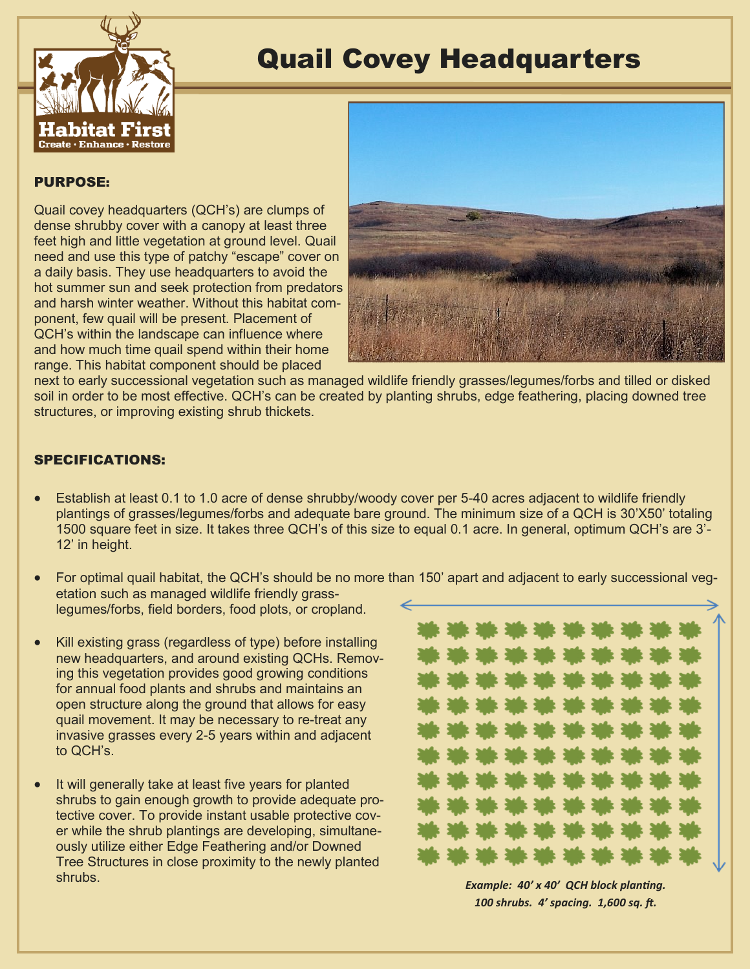

# Quail Covey Headquarters

## PURPOSE:

Quail covey headquarters (QCH's) are clumps of dense shrubby cover with a canopy at least three feet high and little vegetation at ground level. Quail need and use this type of patchy "escape" cover on a daily basis. They use headquarters to avoid the hot summer sun and seek protection from predators and harsh winter weather. Without this habitat component, few quail will be present. Placement of QCH's within the landscape can influence where and how much time quail spend within their home range. This habitat component should be placed



next to early successional vegetation such as managed wildlife friendly grasses/legumes/forbs and tilled or disked soil in order to be most effective. QCH's can be created by planting shrubs, edge feathering, placing downed tree structures, or improving existing shrub thickets.

# SPECIFICATIONS:

- Establish at least 0.1 to 1.0 acre of dense shrubby/woody cover per 5-40 acres adjacent to wildlife friendly plantings of grasses/legumes/forbs and adequate bare ground. The minimum size of a QCH is 30'X50' totaling 1500 square feet in size. It takes three QCH's of this size to equal 0.1 acre. In general, optimum QCH's are 3'- 12' in height.
- For optimal quail habitat, the QCH's should be no more than 150' apart and adjacent to early successional vegetation such as managed wildlife friendly grasslegumes/forbs, field borders, food plots, or cropland.
- Kill existing grass (regardless of type) before installing new headquarters, and around existing QCHs. Removing this vegetation provides good growing conditions for annual food plants and shrubs and maintains an open structure along the ground that allows for easy quail movement. It may be necessary to re-treat any invasive grasses every 2-5 years within and adjacent to QCH's.
- It will generally take at least five years for planted shrubs to gain enough growth to provide adequate protective cover. To provide instant usable protective cover while the shrub plantings are developing, simultaneously utilize either Edge Feathering and/or Downed Tree Structures in close proximity to the newly planted shrubs.



*Example: 40' x 40' QCH block planting. 100 shrubs. 4' spacing. 1,600 sq. ft.*